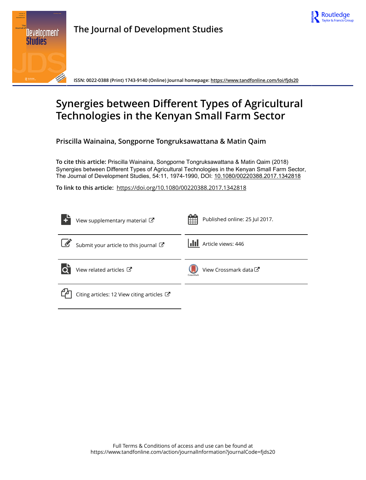



**The Journal of Development Studies**

**ISSN: 0022-0388 (Print) 1743-9140 (Online) Journal homepage:<https://www.tandfonline.com/loi/fjds20>**

# **Synergies between Different Types of Agricultural Technologies in the Kenyan Small Farm Sector**

**Priscilla Wainaina, Songporne Tongruksawattana & Matin Qaim**

**To cite this article:** Priscilla Wainaina, Songporne Tongruksawattana & Matin Qaim (2018) Synergies between Different Types of Agricultural Technologies in the Kenyan Small Farm Sector, The Journal of Development Studies, 54:11, 1974-1990, DOI: [10.1080/00220388.2017.1342818](https://www.tandfonline.com/action/showCitFormats?doi=10.1080/00220388.2017.1342818)

**To link to this article:** <https://doi.org/10.1080/00220388.2017.1342818>

|                       | View supplementary material C                         | Published online: 25 Jul 2017.<br>HH |
|-----------------------|-------------------------------------------------------|--------------------------------------|
| $\boxed{\mathscr{L}}$ | Submit your article to this journal                   | <b>III</b> Article views: 446        |
|                       | View related articles C                               | View Crossmark data C<br>CrossMark   |
|                       | Citing articles: 12 View citing articles $\mathbb{Z}$ |                                      |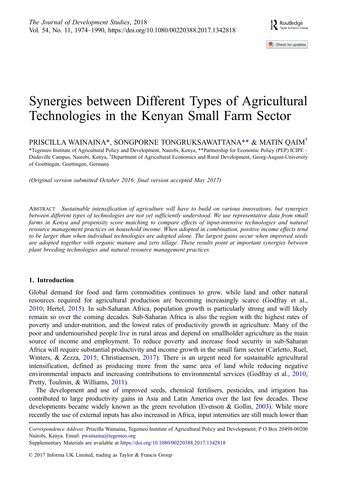Check for updates

# <span id="page-1-0"></span>Synergies between Different Types of Agricultural Technologies in the Kenyan Small Farm Sector

PRISCILLA WAINAINA\*, SONGPORNE TONGRUKSAWATTANA\*\* & MATIN QAIM†

\*Tegemeo Institute of Agricultural Policy and Development, Nairobi, Kenya, \*\*Partnership for Economic Policy (PEP) ICIPE – Duduville Campus, Nairobi, Kenya, † Department of Agricultural Economics and Rural Development, Georg-August-University of Goettingen, Goettingen, Germany

(Original version submitted October 2016; final version accepted May 2017)

ABSTRACT Sustainable intensification of agriculture will have to build on various innovations, but synergies between different types of technologies are not yet sufficiently understood. We use representative data from small farms in Kenya and propensity score matching to compare effects of input-intensive technologies and natural resource management practices on household income. When adopted in combination, positive income effects tend to be larger than when individual technologies are adopted alone. The largest gains occur when improved seeds are adopted together with organic manure and zero tillage. These results point at important synergies between plant breeding technologies and natural resource management practices.

# 1. Introduction

Global demand for food and farm commodities continues to grow, while land and other natural resources required for agricultural production are becoming increasingly scarce (Godfray et al., [2010](#page-16-0); Hertel, [2015\)](#page-16-0). In sub-Saharan Africa, population growth is particularly strong and will likely remain so over the coming decades. Sub-Saharan Africa is also the region with the highest rates of poverty and under-nutrition, and the lowest rates of productivity growth in agriculture. Many of the poor and undernourished people live in rural areas and depend on smallholder agriculture as the main source of income and employment. To reduce poverty and increase food security in sub-Saharan Africa will require substantial productivity and income growth in the small farm sector (Carletto, Ruel, Winters, & Zezza, [2015;](#page-16-0) Christiaensen, [2017\)](#page-16-0). There is an urgent need for sustainable agricultural intensification, defined as producing more from the same area of land while reducing negative environmental impacts and increasing contributions to environmental services (Godfray et al., [2010;](#page-16-0) Pretty, Toulmin, & Williams, [2011\)](#page-17-0).

The development and use of improved seeds, chemical fertilisers, pesticides, and irrigation has contributed to large productivity gains in Asia and Latin America over the last few decades. These developments became widely known as the green revolution (Evenson & Gollin, [2003\)](#page-16-0). While more recently the use of external inputs has also increased in Africa, input intensities are still much lower than

Correspondence Address: Priscilla Wainaina, Tegemeo Institute of Agricultural Policy and Development; P O Box 20498-00200 Nairobi, Kenya. Email: pwainaina@tegemeo.org

Supplementary Materials are available at <https://doi.org/10.1080/00220388.2017.1342818>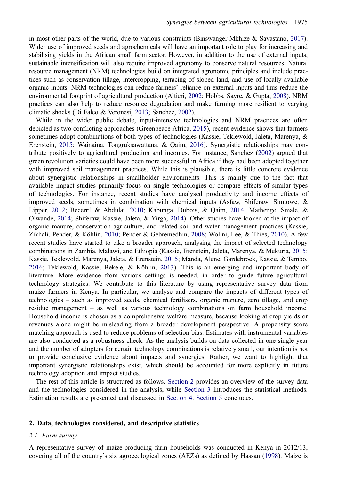<span id="page-2-0"></span>in most other parts of the world, due to various constraints (Binswanger-Mkhize & Savastano, [2017](#page-15-0)). Wider use of improved seeds and agrochemicals will have an important role to play for increasing and stabilising yields in the African small farm sector. However, in addition to the use of external inputs, sustainable intensification will also require improved agronomy to conserve natural resources. Natural resource management (NRM) technologies build on integrated agronomic principles and include practices such as conservation tillage, intercropping, terracing of sloped land, and use of locally available organic inputs. NRM technologies can reduce farmers' reliance on external inputs and thus reduce the environmental footprint of agricultural production (Altieri, [2002](#page-15-0); Hobbs, Sayre, & Gupta, [2008\)](#page-16-0). NRM practices can also help to reduce resource degradation and make farming more resilient to varying climatic shocks (Di Falco & Veronesi, [2013](#page-16-0); Sanchez, [2002\)](#page-17-0).

While in the wider public debate, input-intensive technologies and NRM practices are often depicted as two conflicting approaches (Greenpeace Africa, [2015\)](#page-16-0), recent evidence shows that farmers sometimes adopt combinations of both types of technologies (Kassie, Teklewold, Jaleta, Marenya, & Erenstein, [2015;](#page-16-0) Wainaina, Tongruksawattana, & Qaim, [2016](#page-17-0)). Synergistic relationships may contribute positively to agricultural production and incomes. For instance, Sanchez ([2002\)](#page-17-0) argued that green revolution varieties could have been more successful in Africa if they had been adopted together with improved soil management practices. While this is plausible, there is little concrete evidence about synergistic relationships in smallholder environments. This is mainly due to the fact that available impact studies primarily focus on single technologies or compare effects of similar types of technologies. For instance, recent studies have analysed productivity and income effects of improved seeds, sometimes in combination with chemical inputs (Asfaw, Shiferaw, Simtowe, & Lipper, [2012;](#page-15-0) Becerril & Abdulai, [2010](#page-15-0); Kabunga, Dubois, & Qaim, [2014](#page-16-0); Mathenge, Smale, & Olwande, [2014;](#page-16-0) Shiferaw, Kassie, Jaleta, & Yirga, [2014](#page-17-0)). Other studies have looked at the impact of organic manure, conservation agriculture, and related soil and water management practices (Kassie, Zikhali, Pender, & Köhlin, [2010](#page-16-0); Pender & Gebremedhin, [2008;](#page-17-0) Wollni, Lee, & Thies, [2010\)](#page-17-0). A few recent studies have started to take a broader approach, analysing the impact of selected technology combinations in Zambia, Malawi, and Ethiopia (Kassie, Erenstein, Jaleta, Marenya, & Mekuria, [2015:](#page-16-0) Kassie, Teklewold, Marenya, Jaleta, & Erenstein, [2015;](#page-16-0) Manda, Alene, Gardebroek, Kassie, & Tembo, [2016](#page-16-0); Teklewold, Kassie, Bekele, & Köhlin, [2013\)](#page-17-0). This is an emerging and important body of literature. More evidence from various settings is needed, in order to guide future agricultural technology strategies. We contribute to this literature by using representative survey data from maize farmers in Kenya. In particular, we analyse and compare the impacts of different types of technologies – such as improved seeds, chemical fertilisers, organic manure, zero tillage, and crop residue management – as well as various technology combinations on farm household income. Household income is chosen as a comprehensive welfare measure, because looking at crop yields or revenues alone might be misleading from a broader development perspective. A propensity score matching approach is used to reduce problems of selection bias. Estimates with instrumental variables are also conducted as a robustness check. As the analysis builds on data collected in one single year and the number of adopters for certain technology combinations is relatively small, our intention is not to provide conclusive evidence about impacts and synergies. Rather, we want to highlight that important synergistic relationships exist, which should be accounted for more explicitly in future technology adoption and impact studies.

The rest of this article is structured as follows. Section 2 provides an overview of the survey data and the technologies considered in the analysis, while [Section 3](#page-7-0) introduces the statistical methods. Estimation results are presented and discussed in [Section 4.](#page-10-0) [Section 5](#page-14-0) concludes.

# 2. Data, technologies considered, and descriptive statistics

# 2.1. Farm survey

A representative survey of maize-producing farm households was conducted in Kenya in 2012/13, covering all of the country's six agroecological zones (AEZs) as defined by Hassan [\(1998](#page-16-0)). Maize is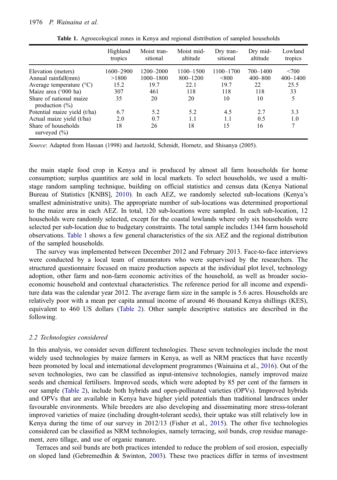### <span id="page-3-0"></span>1976 P. Wainaina et al.

|                                                                                                                                                         | Highland<br>tropics                     | Moist tran-<br>sitional                         | Moist mid-<br>altitude                         | Dry tran-<br>sitional                   | Dry mid-<br>altitude                       | Lowland<br>tropics                       |
|---------------------------------------------------------------------------------------------------------------------------------------------------------|-----------------------------------------|-------------------------------------------------|------------------------------------------------|-----------------------------------------|--------------------------------------------|------------------------------------------|
| Elevation (meters)<br>Annual rainfall(mm)<br>Average temperature $(^{\circ}C)$<br>Maize area ('000 ha)<br>Share of national maize<br>production $(\% )$ | 1600-2900<br>>1800<br>15.2<br>307<br>35 | 1200-2000<br>$1000 - 1800$<br>19.7<br>461<br>20 | 1100-1500<br>$800 - 1200$<br>22.1<br>118<br>20 | 1100-1700<br>< 800<br>19.7<br>118<br>10 | 700-1400<br>$400 - 800$<br>22<br>118<br>10 | < 700<br>$400 - 1400$<br>25.5<br>33<br>5 |
| Potential maize yield (t/ha)<br>Actual maize yield (t/ha)<br>Share of households<br>surveyed $(\% )$                                                    | 6.7<br>2.0<br>18                        | 5.2<br>0.7<br>26                                | 5.2<br>1.1<br>18                               | 4.5<br>1.1<br>15                        | 2.7<br>0.5<br>16                           | 3.3<br>1.0<br>7                          |

Table 1. Agroecological zones in Kenya and regional distribution of sampled households

Source: Adapted from Hassan (1998) and Jaetzold, Schmidt, Hornetz, and Shisanya (2005).

the main staple food crop in Kenya and is produced by almost all farm households for home consumption; surplus quantities are sold in local markets. To select households, we used a multistage random sampling technique, building on official statistics and census data (Kenya National Bureau of Statistics [KNBS], [2010](#page-16-0)). In each AEZ, we randomly selected sub-locations (Kenya's smallest administrative units). The appropriate number of sub-locations was determined proportional to the maize area in each AEZ. In total, 120 sub-locations were sampled. In each sub-location, 12 households were randomly selected, except for the coastal lowlands where only six households were selected per sub-location due to budgetary constraints. The total sample includes 1344 farm household observations. Table 1 shows a few general characteristics of the six AEZ and the regional distribution of the sampled households.

The survey was implemented between December 2012 and February 2013. Face-to-face interviews were conducted by a local team of enumerators who were supervised by the researchers. The structured questionnaire focused on maize production aspects at the individual plot level, technology adoption, other farm and non-farm economic activities of the household, as well as broader socioeconomic household and contextual characteristics. The reference period for all income and expenditure data was the calendar year 2012. The average farm size in the sample is 5.6 acres. Households are relatively poor with a mean per capita annual income of around 46 thousand Kenya shillings (KES), equivalent to 460 US dollars ([Table 2\)](#page-4-0). Other sample descriptive statistics are described in the following.

## 2.2 Technologies considered

In this analysis, we consider seven different technologies. These seven technologies include the most widely used technologies by maize farmers in Kenya, as well as NRM practices that have recently been promoted by local and international development programmes (Wainaina et al., [2016\)](#page-17-0). Out of the seven technologies, two can be classified as input-intensive technologies, namely improved maize seeds and chemical fertilisers. Improved seeds, which were adopted by 85 per cent of the farmers in our sample [\(Table 2\)](#page-4-0), include both hybrids and open-pollinated varieties (OPVs). Improved hybrids and OPVs that are available in Kenya have higher yield potentials than traditional landraces under favourable environments. While breeders are also developing and disseminating more stress-tolerant improved varieties of maize (including drought-tolerant seeds), their uptake was still relatively low in Kenya during the time of our survey in 2012/13 (Fisher et al., [2015\)](#page-16-0). The other five technologies considered can be classified as NRM technologies, namely terracing, soil bunds, crop residue management, zero tillage, and use of organic manure.

Terraces and soil bunds are both practices intended to reduce the problem of soil erosion, especially on sloped land (Gebremedhin & Swinton, [2003\)](#page-16-0). These two practices differ in terms of investment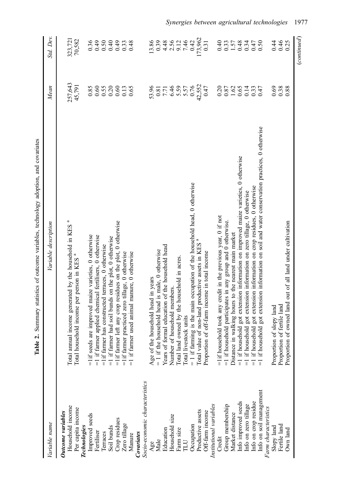<span id="page-4-0"></span>

|                                                                                                                                                                            | 5g                                                                                                                                                                                                                                                                                                                                                                                                                                                                                                                                     |                                                                                           |                                                                          |
|----------------------------------------------------------------------------------------------------------------------------------------------------------------------------|----------------------------------------------------------------------------------------------------------------------------------------------------------------------------------------------------------------------------------------------------------------------------------------------------------------------------------------------------------------------------------------------------------------------------------------------------------------------------------------------------------------------------------------|-------------------------------------------------------------------------------------------|--------------------------------------------------------------------------|
| Variable name                                                                                                                                                              | Variable description                                                                                                                                                                                                                                                                                                                                                                                                                                                                                                                   | Mean                                                                                      | Std. Dev.                                                                |
| Household income<br>Per capita income<br>Outcome variables<br>Technologies                                                                                                 | Total annual income generated by the household in KES <sup>a</sup><br>Total household income per person in KES <sup>ª</sup>                                                                                                                                                                                                                                                                                                                                                                                                            | 257,643<br>45,791                                                                         | 70,582<br>323,721                                                        |
| Improved seeds<br>Crop residues<br>Zero tillage<br>Soil bunds<br>Fertiliser<br>Terraces<br>Covariates<br>Manure                                                            | $=$ 1if farmer left any crop residues on the plot, 0 otherwise<br>are improved maize varieties, 0 otherwise<br>=1 if farmer applied chemical fertilisers, 0 otherwise<br>$=1$ if farmer had soil bunds on the plot, 0 otherwise<br>$=$ 1if farmer has constructed terraces, $0$ otherwise<br>=1if farmer practiced zero tillage, 0 otherwise<br>=1 if farmer used animal manure, 0 otherwise<br>$=$ 1 if seeds                                                                                                                         | $0.55$<br>$0.20$<br>$0.60$<br>0.85<br>0.60<br>$\begin{array}{c} 0.13 \\ 0.65 \end{array}$ | 0.36<br>64.0<br>$6+0.49$<br>0.50<br>0.40<br>0.33<br>0.48                 |
| Socio-economic characteristics<br>Productive assets<br>Off-farm income<br>Household size<br>Occupation<br>Education<br>Farm size<br>Male<br>LUT<br>Age                     | = 1 if farming is the main occupation of the household head, 0 otherwise<br>Total value of non-land productive assets in KES <sup>ª</sup><br>Years of formal education of the household head<br>household head is male, 0 otherwise<br>of off-farm income in total income<br>Total land owned by the household in acres.<br>Age of the household head in years<br>Number of household members.<br>Total livestock units<br>Proportion<br>$= 1$ if the $\overline{1}$                                                                   | 42,552<br>5.57<br>5.57<br>0.76<br>53.96<br>6.46<br>0.47<br>$0.81$<br>7.71                 | 173,962<br>7.46<br>13.86<br>0.39<br>9.12<br>0.42<br>4.48<br>2.56<br>0.31 |
| Info on soil management<br>Info on crop residue<br>Info improved seeds<br>Info on zero tillage<br>Institutional variables<br>Group membership<br>Market distance<br>Credit | =1 if household got extension information on soil and water conservation practices, 0 otherwise<br>=1 if household got extension information on improved maize varieties, 0 otherwise<br>=1 if household got extension information on crop residues, 0 otherwise<br>=1 if household got extension information on zero tillage, 0 otherwise<br>$=$ 1if household took any credit in the previous year, 0 if not<br>$=1$ if household participates in any group and 0 otherwise.<br>Distance in walking hours to the nearest main market | 0.65<br>0.20<br>$\begin{array}{c} 0.87 \\ 1.62 \end{array}$<br>0.14<br>0.33<br>0.47       | 0.40<br>$0.33$<br>1.57<br>0.48<br>0.34<br>0.47<br>0.50                   |
| Farm characteristics<br>Fertile land<br>Slopy land<br>Own land                                                                                                             | of owned land out of all land under cultivation<br>Proportion of fertile land<br>Proportion of slopy land<br>Proportion                                                                                                                                                                                                                                                                                                                                                                                                                | 0.38<br>0.69<br>0.88                                                                      | 0.46<br>0.25<br>0.44                                                     |
|                                                                                                                                                                            |                                                                                                                                                                                                                                                                                                                                                                                                                                                                                                                                        |                                                                                           | (continued)                                                              |

Table 2. Summary statistics of outcome variables, technology adoption, and covariates Table 2. Summary statistics of outcome variables, technology adoption, and covariates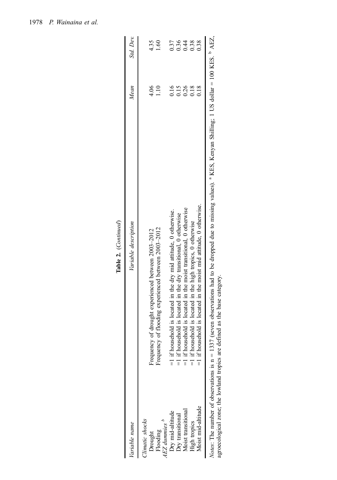| Variable name                                              | Variable description                                                                                                                                                                                                                                                  | Mean         | Std. Dev.               |
|------------------------------------------------------------|-----------------------------------------------------------------------------------------------------------------------------------------------------------------------------------------------------------------------------------------------------------------------|--------------|-------------------------|
| Climatic shocks<br>AEZ dummies<br>Flooding<br>Drought      | of flooding experienced between 2003-2012<br>of drought experienced between 2003-2012<br>Frequency<br>requency                                                                                                                                                        | 4.06<br>1.10 | 4.35<br>$\overline{60}$ |
|                                                            | ehold is located in the dry mid attitude, 0 otherwise.<br>$=1$ if hous                                                                                                                                                                                                | 0.16         | 0.37                    |
| Dry mid-altitude<br>Dry transitional<br>Moist transitional | $=$ 1 if household is located in the dry transitional, 0 otherwise                                                                                                                                                                                                    | 0.15         | 0.36                    |
|                                                            | $=$ 1 if household is located in the moist transitional, 0 otherwise                                                                                                                                                                                                  | 0.26         | 0.44                    |
| <b>High tropics</b>                                        | =1 if household is located in the high tropics, 0 otherwise                                                                                                                                                                                                           | 0.18         | 0.38                    |
| Moist mid-altitude                                         | $=1$ if household is located in the moist mid attitude, 0 otherwise.                                                                                                                                                                                                  | 0.18         | 0.38                    |
|                                                            | Notes: The number of observations is n = 1337 (seven observations had to be dropped due to missing values). <sup>a</sup> KES, Kenyan Shilling; 1 US dollar = 100 KES. <sup>b</sup> AEZ,<br>agroecological zone; the lowland tropics are defined as the base category. |              |                         |

Table 2. (Continued) Table 2. (Continued)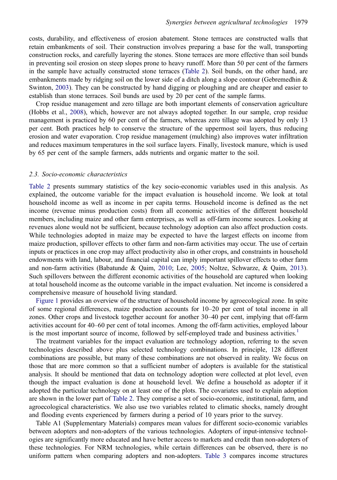<span id="page-6-0"></span>costs, durability, and effectiveness of erosion abatement. Stone terraces are constructed walls that retain embankments of soil. Their construction involves preparing a base for the wall, transporting construction rocks, and carefully layering the stones. Stone terraces are more effective than soil bunds in preventing soil erosion on steep slopes prone to heavy runoff. More than 50 per cent of the farmers in the sample have actually constructed stone terraces [\(Table 2\)](#page-4-0). Soil bunds, on the other hand, are embankments made by ridging soil on the lower side of a ditch along a slope contour (Gebremedhin  $\&$ Swinton, [2003](#page-16-0)). They can be constructed by hand digging or ploughing and are cheaper and easier to establish than stone terraces. Soil bunds are used by 20 per cent of the sample farms.

Crop residue management and zero tillage are both important elements of conservation agriculture (Hobbs et al., [2008](#page-16-0)), which, however are not always adopted together. In our sample, crop residue management is practiced by 60 per cent of the farmers, whereas zero tillage was adopted by only 13 per cent. Both practices help to conserve the structure of the uppermost soil layers, thus reducing erosion and water evaporation. Crop residue management (mulching) also improves water infiltration and reduces maximum temperatures in the soil surface layers. Finally, livestock manure, which is used by 65 per cent of the sample farmers, adds nutrients and organic matter to the soil.

#### 2.3. Socio-economic characteristics

[Table 2](#page-4-0) presents summary statistics of the key socio-economic variables used in this analysis. As explained, the outcome variable for the impact evaluation is household income. We look at total household income as well as income in per capita terms. Household income is defined as the net income (revenue minus production costs) from all economic activities of the different household members, including maize and other farm enterprises, as well as off-farm income sources. Looking at revenues alone would not be sufficient, because technology adoption can also affect production costs. While technologies adopted in maize may be expected to have the largest effects on income from maize production, spillover effects to other farm and non-farm activities may occur. The use of certain inputs or practices in one crop may affect productivity also in other crops, and constraints in household endowments with land, labour, and financial capital can imply important spillover effects to other farm and non-farm activities (Babatunde & Qaim, [2010;](#page-15-0) Lee, [2005;](#page-16-0) Noltze, Schwarze, & Qaim, [2013\)](#page-17-0). Such spillovers between the different economic activities of the household are captured when looking at total household income as the outcome variable in the impact evaluation. Net income is considered a comprehensive measure of household living standard.

[Figure 1](#page-7-0) provides an overview of the structure of household income by agroecological zone. In spite of some regional differences, maize production accounts for 10–20 per cent of total income in all zones. Other crops and livestock together account for another 30–40 per cent, implying that off-farm activities account for 40–60 per cent of total incomes. Among the off-farm activities, employed labour is the most important source of income, followed by self-employed trade and business activities.<sup>[1](#page-15-0)</sup>

The treatment variables for the impact evaluation are technology adoption, referring to the seven technologies described above plus selected technology combinations. In principle, 128 different combinations are possible, but many of these combinations are not observed in reality. We focus on those that are more common so that a sufficient number of adopters is available for the statistical analysis. It should be mentioned that data on technology adoption were collected at plot level, even though the impact evaluation is done at household level. We define a household as adopter if it adopted the particular technology on at least one of the plots. The covariates used to explain adoption are shown in the lower part of [Table 2](#page-4-0). They comprise a set of socio-economic, institutional, farm, and agroecological characteristics. We also use two variables related to climatic shocks, namely drought and flooding events experienced by farmers during a period of 10 years prior to the survey.

Table A1 (Supplementary Materials) compares mean values for different socio-economic variables between adopters and non-adopters of the various technologies. Adopters of input-intensive technologies are significantly more educated and have better access to markets and credit than non-adopters of these technologies. For NRM technologies, while certain differences can be observed, there is no uniform pattern when comparing adopters and non-adopters. [Table 3](#page-8-0) compares income structures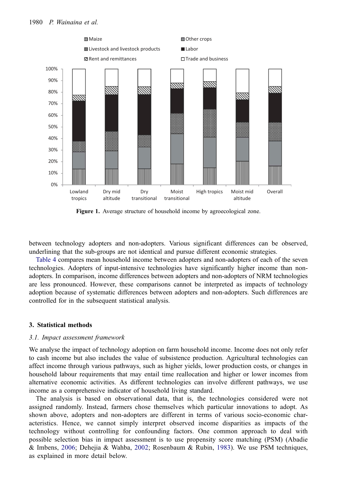<span id="page-7-0"></span>

Figure 1. Average structure of household income by agroecological zone.

between technology adopters and non-adopters. Various significant differences can be observed, underlining that the sub-groups are not identical and pursue different economic strategies.

[Table 4](#page-9-0) compares mean household income between adopters and non-adopters of each of the seven technologies. Adopters of input-intensive technologies have significantly higher income than nonadopters. In comparison, income differences between adopters and non-adopters of NRM technologies are less pronounced. However, these comparisons cannot be interpreted as impacts of technology adoption because of systematic differences between adopters and non-adopters. Such differences are controlled for in the subsequent statistical analysis.

## 3. Statistical methods

## 3.1. Impact assessment framework

We analyse the impact of technology adoption on farm household income. Income does not only refer to cash income but also includes the value of subsistence production. Agricultural technologies can affect income through various pathways, such as higher yields, lower production costs, or changes in household labour requirements that may entail time reallocation and higher or lower incomes from alternative economic activities. As different technologies can involve different pathways, we use income as a comprehensive indicator of household living standard.

The analysis is based on observational data, that is, the technologies considered were not assigned randomly. Instead, farmers chose themselves which particular innovations to adopt. As shown above, adopters and non-adopters are different in terms of various socio-economic characteristics. Hence, we cannot simply interpret observed income disparities as impacts of the technology without controlling for confounding factors. One common approach to deal with possible selection bias in impact assessment is to use propensity score matching (PSM) (Abadie & Imbens, [2006](#page-15-0); Dehejia & Wahba, [2002](#page-16-0); Rosenbaum & Rubin, [1983\)](#page-17-0). We use PSM techniques, as explained in more detail below.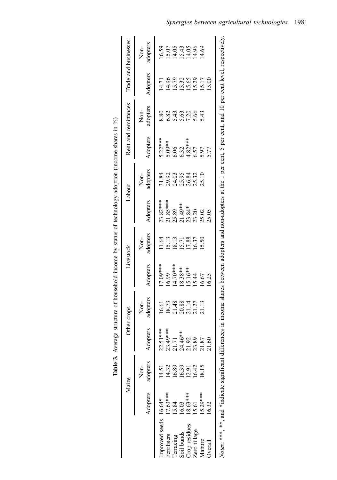<span id="page-8-0"></span>

| Trade and businesses | Non-<br>adopters<br>Adopters |                                                          |                        |                                                                       |                          |                |               | 15.00  |                                                  |
|----------------------|------------------------------|----------------------------------------------------------|------------------------|-----------------------------------------------------------------------|--------------------------|----------------|---------------|--------|--------------------------------------------------|
| Rent and remittances | adopters<br>Non-             | 8.80                                                     | 5.82                   | $48884$<br>$2884$                                                     |                          |                |               |        |                                                  |
|                      | Adopters                     | \$.22***<br>5.09**<br>5.06<br>6.32 ***<br>6.5.77<br>5.77 |                        |                                                                       |                          |                |               |        |                                                  |
| Labour               | adopters<br>Non-             | 31.84<br>29.95<br>20.95<br>20.95.32<br>20.20.20.20       |                        |                                                                       |                          |                |               |        |                                                  |
|                      | Adopters                     | $23.82***$<br>21.85***                                   |                        | 25.89<br>21.49**<br>21.344<br>23.02<br>25.05                          |                          |                |               |        |                                                  |
| Livestock            | Non-<br>adopters             |                                                          |                        | 1151385<br>15115855<br>15115855                                       |                          |                |               |        |                                                  |
|                      | Adopters                     | 7.09***                                                  |                        | $16.99$<br>$14.70***$<br>$18.38***$<br>$15.16*$<br>$16.67$<br>$16.25$ |                          |                |               |        |                                                  |
| Other crops          | adopters<br>Non-             |                                                          |                        | 16.61<br>18.73<br>20.88<br>20.11.27<br>21.13                          |                          |                |               |        |                                                  |
|                      | Adopters                     | $22.51***$<br>$23.49***$<br>$21.71$<br>$24.46**$         |                        |                                                                       |                          | 21.92<br>23.89 | 21.87         |        |                                                  |
| Maize                | adopters<br>Non-             | 14.51                                                    | 4.32<br>6.89           | 6.39                                                                  | $12.91$<br>$16.42$       |                | 18.15         |        |                                                  |
|                      | Adopters                     |                                                          | $7.63***$<br>5.84      |                                                                       | $\frac{16.03}{18.63***}$ | 15.61          | $15.29***$    | 16.32  |                                                  |
|                      |                              | proved seeds 16.64*                                      | ertilisers<br>erracing | oil bunds                                                             | rop residues             | Zero tillage   | <b>Aanure</b> | verall | Votes: ***, **, and *indicate significant differ |

| <br>7                                        |
|----------------------------------------------|
| Ĭ                                            |
| こじ へんちん くうこう こうしゃ                            |
| ֧֪֪֪֧֪֧֦֧֦֧֦֧֝֟֟֟֟֟֟֟֟֟֟֟֟֟֟֝֟֟֝֬֝֟֟֝֬֝֬֝֬֝֬ |
| こくさい へんしょう<br>j                              |
|                                              |
| ;<br>;<br>;                                  |
|                                              |
| こ くうちくちょう くう                                 |
| くく・・く・・                                      |
| í                                            |
| ;<br>;<br>;<br>.<br>.<br>.                   |
|                                              |
|                                              |
| $\frac{1}{\epsilon}$<br>.<br>.               |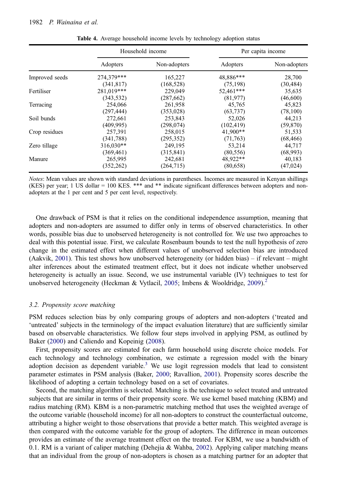<span id="page-9-0"></span>

|                |             | Household income |            | Per capita income |  |  |  |
|----------------|-------------|------------------|------------|-------------------|--|--|--|
|                | Adopters    | Non-adopters     | Adopters   | Non-adopters      |  |  |  |
| Improved seeds | 274,379***  | 165,227          | 48,886***  | 28,700            |  |  |  |
|                | (341, 817)  | (168, 528)       | (75, 198)  | (30, 484)         |  |  |  |
| Fertiliser     | 281,019***  | 229,049          | 52,461***  | 35,635            |  |  |  |
|                | (343, 532)  | (287, 662)       | (81,977)   | (46,600)          |  |  |  |
| Terracing      | 254,066     | 261,958          | 45,765     | 45,823            |  |  |  |
|                | (297, 444)  | (353, 028)       | (63, 737)  | (78,100)          |  |  |  |
| Soil bunds     | 272,661     | 253,843          | 52,026     | 44,213            |  |  |  |
|                | (409, 995)  | (298, 074)       | (102, 419) | (59, 870)         |  |  |  |
| Crop residues  | 257,391     | 258,015          | $41,900**$ | 51,533            |  |  |  |
|                | (341, 788)  | (295, 352)       | (71, 763)  | (68, 466)         |  |  |  |
| Zero tillage   | $316,030**$ | 249,195          | 53,214     | 44,717            |  |  |  |
|                | (369, 461)  | (315, 841)       | (80, 556)  | (68,993)          |  |  |  |
| Manure         | 265,995     | 242,681          | 48,922**   | 40,183            |  |  |  |
|                | (352, 262)  | (264, 715)       | (80,658)   | (47, 024)         |  |  |  |

Table 4. Average household income levels by technology adoption status

Notes: Mean values are shown with standard deviations in parentheses. Incomes are measured in Kenyan shillings (KES) per year; 1 US dollar = 100 KES. \*\*\* and \*\* indicate significant differences between adopters and nonadopters at the 1 per cent and 5 per cent level, respectively.

One drawback of PSM is that it relies on the conditional independence assumption, meaning that adopters and non-adopters are assumed to differ only in terms of observed characteristics. In other words, possible bias due to unobserved heterogeneity is not controlled for. We use two approaches to deal with this potential issue. First, we calculate Rosenbaum bounds to test the null hypothesis of zero change in the estimated effect when different values of unobserved selection bias are introduced (Aakvik, [2001\)](#page-15-0). This test shows how unobserved heterogeneity (or hidden bias) – if relevant – might alter inferences about the estimated treatment effect, but it does not indicate whether unobserved heterogeneity is actually an issue. Second, we use instrumental variable (IV) techniques to test for unobserved heterogeneity (Heckman & Vytlacil, [2005](#page-16-0); Imbens & Wooldridge, [2009](#page-16-0)).<sup>[2](#page-15-0)</sup>

#### 3.2. Propensity score matching

PSM reduces selection bias by only comparing groups of adopters and non-adopters ('treated and 'untreated' subjects in the terminology of the impact evaluation literature) that are sufficiently similar based on observable characteristics. We follow four steps involved in applying PSM, as outlined by Baker ([2000\)](#page-15-0) and Caliendo and Kopeinig ([2008\)](#page-16-0).

First, propensity scores are estimated for each farm household using discrete choice models. For each technology and technology combination, we estimate a regression model with the binary adoption decision as dependent variable. $3$  We use logit regression models that lead to consistent parameter estimates in PSM analysis (Baker, [2000](#page-15-0); Ravallion, [2001\)](#page-17-0). Propensity scores describe the likelihood of adopting a certain technology based on a set of covariates.

Second, the matching algorithm is selected. Matching is the technique to select treated and untreated subjects that are similar in terms of their propensity score. We use kernel based matching (KBM) and radius matching (RM). KBM is a non-parametric matching method that uses the weighted average of the outcome variable (household income) for all non-adopters to construct the counterfactual outcome, attributing a higher weight to those observations that provide a better match. This weighted average is then compared with the outcome variable for the group of adopters. The difference in mean outcomes provides an estimate of the average treatment effect on the treated. For KBM, we use a bandwidth of 0.1. RM is a variant of caliper matching (Dehejia & Wahba, [2002\)](#page-16-0). Applying caliper matching means that an individual from the group of non-adopters is chosen as a matching partner for an adopter that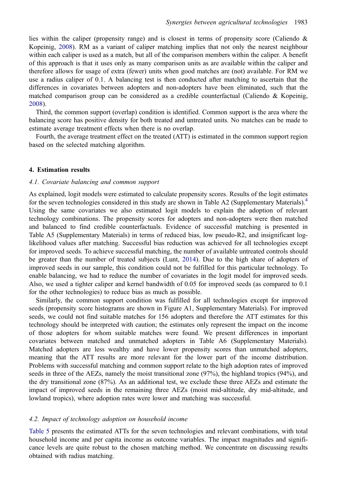<span id="page-10-0"></span>lies within the caliper (propensity range) and is closest in terms of propensity score (Caliendo  $\&$ Kopeinig, [2008](#page-16-0)). RM as a variant of caliper matching implies that not only the nearest neighbour within each caliper is used as a match, but all of the comparison members within the caliper. A benefit of this approach is that it uses only as many comparison units as are available within the caliper and therefore allows for usage of extra (fewer) units when good matches are (not) available. For RM we use a radius caliper of 0.1. A balancing test is then conducted after matching to ascertain that the differences in covariates between adopters and non-adopters have been eliminated, such that the matched comparison group can be considered as a credible counterfactual (Caliendo & Kopeinig, [2008](#page-16-0)).

Third, the common support (overlap) condition is identified. Common support is the area where the balancing score has positive density for both treated and untreated units. No matches can be made to estimate average treatment effects when there is no overlap.

Fourth, the average treatment effect on the treated (ATT) is estimated in the common support region based on the selected matching algorithm.

## 4. Estimation results

# 4.1. Covariate balancing and common support

As explained, logit models were estimated to calculate propensity scores. Results of the logit estimates for the seven technologies considered in this study are shown in Table A2 (Supplementary Materials).<sup>[4](#page-15-0)</sup> Using the same covariates we also estimated logit models to explain the adoption of relevant technology combinations. The propensity scores for adopters and non-adopters were then matched and balanced to find credible counterfactuals. Evidence of successful matching is presented in Table A5 (Supplementary Materials) in terms of reduced bias, low pseudo-R2, and insignificant loglikelihood values after matching. Successful bias reduction was achieved for all technologies except for improved seeds. To achieve successful matching, the number of available untreated controls should be greater than the number of treated subjects (Lunt, [2014](#page-16-0)). Due to the high share of adopters of improved seeds in our sample, this condition could not be fulfilled for this particular technology. To enable balancing, we had to reduce the number of covariates in the logit model for improved seeds. Also, we used a tighter caliper and kernel bandwidth of 0.05 for improved seeds (as compared to 0.1 for the other technologies) to reduce bias as much as possible.

Similarly, the common support condition was fulfilled for all technologies except for improved seeds (propensity score histograms are shown in Figure A1, Supplementary Materials). For improved seeds, we could not find suitable matches for 156 adopters and therefore the ATT estimates for this technology should be interpreted with caution; the estimates only represent the impact on the income of those adopters for whom suitable matches were found. We present differences in important covariates between matched and unmatched adopters in Table A6 (Supplementary Materials). Matched adopters are less wealthy and have lower propensity scores than unmatched adopters, meaning that the ATT results are more relevant for the lower part of the income distribution. Problems with successful matching and common support relate to the high adoption rates of improved seeds in three of the AEZs, namely the moist transitional zone (97%), the highland tropics (94%), and the dry transitional zone (87%). As an additional test, we exclude these three AEZs and estimate the impact of improved seeds in the remaining three AEZs (moist mid-altitude, dry mid-altitude, and lowland tropics), where adoption rates were lower and matching was successful.

## 4.2. Impact of technology adoption on household income

[Table 5](#page-11-0) presents the estimated ATTs for the seven technologies and relevant combinations, with total household income and per capita income as outcome variables. The impact magnitudes and significance levels are quite robust to the chosen matching method. We concentrate on discussing results obtained with radius matching.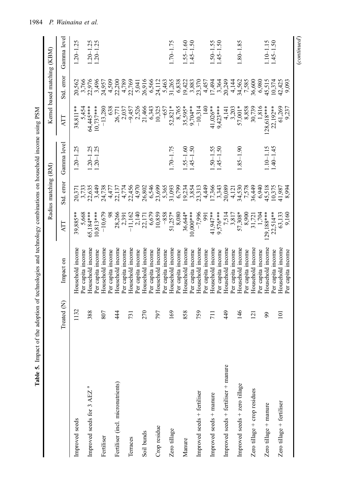<span id="page-11-0"></span>

|                                       |                             | Table 5. Impact of the adoption of technologies and technology combinations on household income using PSM |                          | Radius matching (RM)                |                                |                             | Kernel based matching (KBM)                                                                                                                                                                                                                                                                                   |                                |
|---------------------------------------|-----------------------------|-----------------------------------------------------------------------------------------------------------|--------------------------|-------------------------------------|--------------------------------|-----------------------------|---------------------------------------------------------------------------------------------------------------------------------------------------------------------------------------------------------------------------------------------------------------------------------------------------------------|--------------------------------|
|                                       | Treated (N)                 | Impact on                                                                                                 | ATT                      | Std. error                          | Gamma level                    | ATT                         | Std. error                                                                                                                                                                                                                                                                                                    | Gamma level                    |
| Improved seeds                        | 1132                        | Household income                                                                                          | 39,885**                 | 20,371                              | $1.20 - 1.25$                  | 38,811**                    | 20,562                                                                                                                                                                                                                                                                                                        | $1.20 - 1.25$                  |
|                                       |                             | Per capita income                                                                                         | 5,668                    |                                     |                                | 5,454                       |                                                                                                                                                                                                                                                                                                               |                                |
| Improved seeds for 3 AEZ <sup>a</sup> | 388                         | Household income<br>Per capita income                                                                     | $10,813***$<br>65,184*** | 3,733<br>22,635<br>24,738<br>24,738 | $1.20 - 1.25$<br>$1.20 - 1.25$ | 64,445***<br>$10,737***$    | 3,766<br>22,976<br>3,496<br>24,957                                                                                                                                                                                                                                                                            | $1.20 - 1.25$<br>$1.20 - 1.25$ |
| Fertiliser                            | 807                         | Household income                                                                                          | $-10,679$                |                                     |                                | $-13,280$                   |                                                                                                                                                                                                                                                                                                               |                                |
|                                       |                             | Per capita income                                                                                         | 98                       | 4,477                               |                                | 638                         | 4,509<br>22,200                                                                                                                                                                                                                                                                                               |                                |
| Fertiliser (incl. micronutrients)     | 44                          | Household income<br>Per capita income                                                                     | 28,266<br>2,391          | 4,774<br>22,137                     |                                | 2,037<br>26,771             |                                                                                                                                                                                                                                                                                                               |                                |
| Terraces                              | <b>731</b>                  | Household income                                                                                          | $-11,162$                | 22,456                              |                                |                             | 4,789<br>22,769                                                                                                                                                                                                                                                                                               |                                |
|                                       |                             | Per capita income                                                                                         | 2,140                    | 4,970                               |                                | $-9,457$<br>2,526<br>21,466 | 5,041                                                                                                                                                                                                                                                                                                         |                                |
| Soil bunds                            | 270                         | Household income                                                                                          | 22,171<br>6,679          | 26,802                              |                                |                             | 26,916                                                                                                                                                                                                                                                                                                        |                                |
|                                       |                             | Per capita income                                                                                         |                          | 6,546                               |                                | 6,343                       | 6,566                                                                                                                                                                                                                                                                                                         |                                |
| Crop residue                          | 797                         | Household income                                                                                          | 10,859                   | 23,699                              |                                | 10,325                      |                                                                                                                                                                                                                                                                                                               |                                |
|                                       |                             | Per capita income                                                                                         | $-858$                   | 5,365                               |                                | $-657$                      | 24,112<br>5,463<br>51,265<br>6,838                                                                                                                                                                                                                                                                            |                                |
| Zero tillage                          | 169                         | Household income                                                                                          | $51,257*$                | 31,093                              | $1.70 - 1.75$                  | $52,821*$                   |                                                                                                                                                                                                                                                                                                               | $1.70 - 1.75$                  |
|                                       |                             | Per capita income                                                                                         | 8,080                    | 6,799                               |                                | 8,765                       |                                                                                                                                                                                                                                                                                                               |                                |
| Manure                                | 858                         | Household income                                                                                          | 36,644*                  | 19,234                              | $1.55 - 1.60$                  | 35,595*                     |                                                                                                                                                                                                                                                                                                               | $0.55 - 1.60$                  |
|                                       |                             | Per capita income                                                                                         | $10,000$ ***             | 3,854                               | $1.45 - 1.50$                  | $9,704**$                   |                                                                                                                                                                                                                                                                                                               | $1.45 - 1.50$                  |
| Improved seeds + fertiliser           | 759                         | Household income                                                                                          | $-7,996$                 | 23,313                              |                                | $-10,314$                   | $\begin{array}{l} 19470 \\ 19483 \\ 2051 \\ 1449 \\ 1544 \\ 1749 \\ 1944 \\ 1944 \\ 1944 \\ 1944 \\ 1944 \\ 1944 \\ 1944 \\ 1944 \\ 1944 \\ 1944 \\ 1944 \\ 1944 \\ 1944 \\ 1944 \\ 1944 \\ 1944 \\ 1944 \\ 1944 \\ 1944 \\ 1944 \\ 1944 \\ 1944 \\ 1944 \\ 1944 \\ 1944 \\ 1944 \\ 1944 \\ 1944 \\ 1944 \\ $ |                                |
|                                       |                             | Per capita income                                                                                         | 991                      |                                     |                                | $\frac{140}{5}$             |                                                                                                                                                                                                                                                                                                               |                                |
| Improved seeds + manure               | $\overline{11}$             | Household income                                                                                          | 41,947**                 |                                     | $1.50 - 1.55$                  | 41,026**                    |                                                                                                                                                                                                                                                                                                               | $.50 - 1.55$                   |
|                                       |                             | Per capita income                                                                                         | $9,576***$               | 4,449<br>17,366<br>17,343<br>20,089 | $1.45 - 1.50$                  | $9,423***$                  |                                                                                                                                                                                                                                                                                                               | $1.45 - 1.50$                  |
| Improved seeds + fertiliser + manure  | 449                         | Household income                                                                                          | 7,514<br>3,817           |                                     |                                | 4,141<br>3,203              |                                                                                                                                                                                                                                                                                                               |                                |
|                                       |                             | Per capita income                                                                                         |                          | 4,121                               |                                |                             |                                                                                                                                                                                                                                                                                                               |                                |
| Improved seeds + zero tillage         | 146                         | Household income<br>Per capita income                                                                     | 57,308*<br>8,900         | 34,530<br>7,578<br>36,449           | $06.1 - 58.1$                  | 57,001*                     | 4,144<br>34,562<br>7,585<br>36,600                                                                                                                                                                                                                                                                            | $1.80 - 1.85$                  |
| Zero tillage + crop residues          | $\overline{2}$              | Household income                                                                                          | 31,721                   |                                     |                                | 8,858<br>30,739             |                                                                                                                                                                                                                                                                                                               |                                |
|                                       |                             | Per capita income                                                                                         | 1,704                    | 6,940                               |                                | 1,816                       | 6,980                                                                                                                                                                                                                                                                                                         |                                |
| Zero tillage + manure                 | $\mathcal{S}^{\mathcal{O}}$ | Household income                                                                                          | $.29,188***$             | 45,518                              | $110 - 1.15$                   | $128,618***$                | 45,515                                                                                                                                                                                                                                                                                                        | $1.10 - 1.15$                  |
|                                       |                             | Per capita income                                                                                         | $22,514**$               | 10,375                              | $1.40 - 1.45$                  | 22,192 **                   |                                                                                                                                                                                                                                                                                                               | $-45 - 1.50$                   |
| Zero tillage + fertiliser             | $\Xi$                       | Household income                                                                                          | 63,133                   | 41,987                              |                                | 61,269                      | 10,374<br>42,425                                                                                                                                                                                                                                                                                              |                                |
|                                       |                             | Per capita income                                                                                         | 9,160                    | 8,994                               |                                | 9,237                       | 9,093                                                                                                                                                                                                                                                                                                         |                                |
|                                       |                             |                                                                                                           |                          |                                     |                                |                             |                                                                                                                                                                                                                                                                                                               | $_{\footnotesize {continued}}$ |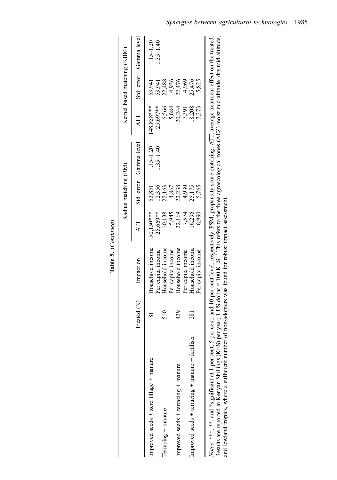|                                                                                                                                                                                                              |                 |                                                                                                                                                                                                                                                                        |                        | Radius matching (RM) |                                |                        | Kernel based matching (KBM) |                                |
|--------------------------------------------------------------------------------------------------------------------------------------------------------------------------------------------------------------|-----------------|------------------------------------------------------------------------------------------------------------------------------------------------------------------------------------------------------------------------------------------------------------------------|------------------------|----------------------|--------------------------------|------------------------|-----------------------------|--------------------------------|
|                                                                                                                                                                                                              | Treated (N)     | Impact on                                                                                                                                                                                                                                                              | ATT                    |                      | Std. error Gamma level         | ATT                    |                             | Std. error Gamma level         |
| Improved seeds $+$ zero tillage $+$ manure                                                                                                                                                                   |                 | Household income<br>Per capita income                                                                                                                                                                                                                                  | 150,150***<br>25,669** | 12,356<br>53,851     | $1.15 - 1.20$<br>$1.35 - 1.40$ | 148.858***<br>25,697** | 53,941<br>53,941            | $1.15 - 1.20$<br>$1.35 - 1.40$ |
| Terracing + manure                                                                                                                                                                                           | $\frac{510}{5}$ | Household income                                                                                                                                                                                                                                                       | 10,138                 | 22,163               |                                | 6,566                  | 22,488                      |                                |
|                                                                                                                                                                                                              |                 | Per capita income                                                                                                                                                                                                                                                      | 5,945                  | 4,867                |                                | 5,684                  |                             |                                |
| Improved seeds $+$ terracing $+$ manure                                                                                                                                                                      | 429             | Household income                                                                                                                                                                                                                                                       | 22,169                 | 22,238               |                                |                        | 4,936<br>22,476             |                                |
|                                                                                                                                                                                                              |                 | Per capita income                                                                                                                                                                                                                                                      | 7,574                  | 4,930                |                                | 20,244<br>7,391        | 4,969                       |                                |
| Improved seeds + terracing + manure + fertiliser                                                                                                                                                             | 281             | Household income                                                                                                                                                                                                                                                       | 16,296                 | 25,175               |                                | 18,208                 | 25,476                      |                                |
|                                                                                                                                                                                                              |                 | Per capita income                                                                                                                                                                                                                                                      | 6,990                  | 5,765                |                                | 7,273                  | 5,825                       |                                |
| and lowland tropics, where a sufficient number of non-adopters was found for robust impact assessment<br>Notes: ***, **, and *significant at 1 per cent, 5<br>Results are reported in Kenyan Shillings (KES) |                 | per year, 1 US dollar = 100 KES. <sup>a</sup> This refers to the three agroecological zones (AEZ) moist mid-altitude, dry mid-altitude,<br>per cent, and 10 per cent level, respectively. PSM, propensity score matching; ATT, average treatment effect on the treated |                        |                      |                                |                        |                             |                                |

| ı |
|---|
| ≍ |

Synergies between agricultural technologies 1985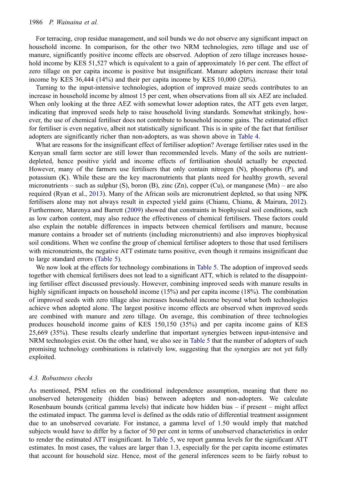<span id="page-13-0"></span>For terracing, crop residue management, and soil bunds we do not observe any significant impact on household income. In comparison, for the other two NRM technologies, zero tillage and use of manure, significantly positive income effects are observed. Adoption of zero tillage increases household income by KES 51,527 which is equivalent to a gain of approximately 16 per cent. The effect of zero tillage on per capita income is positive but insignificant. Manure adopters increase their total income by KES 36,444 (14%) and their per capita income by KES 10,000 (20%).

Turning to the input-intensive technologies, adoption of improved maize seeds contributes to an increase in household income by almost 15 per cent, when observations from all six AEZ are included. When only looking at the three AEZ with somewhat lower adoption rates, the ATT gets even larger, indicating that improved seeds help to raise household living standards. Somewhat strikingly, however, the use of chemical fertiliser does not contribute to household income gains. The estimated effect for fertiliser is even negative, albeit not statistically significant. This is in spite of the fact that fertiliser adopters are significantly richer than non-adopters, as was shown above in [Table 4.](#page-9-0)

What are reasons for the insignificant effect of fertiliser adoption? Average fertiliser rates used in the Kenyan small farm sector are still lower than recommended levels. Many of the soils are nutrientdepleted, hence positive yield and income effects of fertilisation should actually be expected. However, many of the farmers use fertilisers that only contain nitrogen (N), phosphorus (P), and potassium (K). While these are the key macronutrients that plants need for healthy growth, several micronutrients – such as sulphur (S), boron (B), zinc (Zn), copper (Cu), or manganese (Mn) – are also required (Ryan et al., [2013\)](#page-17-0). Many of the African soils are micronutrient depleted, so that using NPK fertilisers alone may not always result in expected yield gains (Chianu, Chianu, & Mairura, [2012\)](#page-16-0). Furthermore, Marenya and Barrett [\(2009](#page-16-0)) showed that constraints in biophysical soil conditions, such as low carbon content, may also reduce the effectiveness of chemical fertilisers. These factors could also explain the notable differences in impacts between chemical fertilisers and manure, because manure contains a broader set of nutrients (including micronutrients) and also improves biophysical soil conditions. When we confine the group of chemical fertiliser adopters to those that used fertilisers with micronutrients, the negative ATT estimate turns positive, even though it remains insignificant due to large standard errors [\(Table 5\)](#page-11-0).

We now look at the effects for technology combinations in [Table 5](#page-11-0). The adoption of improved seeds together with chemical fertilisers does not lead to a significant ATT, which is related to the disappointing fertiliser effect discussed previously. However, combining improved seeds with manure results in highly significant impacts on household income (15%) and per capita income (18%). The combination of improved seeds with zero tillage also increases household income beyond what both technologies achieve when adopted alone. The largest positive income effects are observed when improved seeds are combined with manure and zero tillage. On average, this combination of three technologies produces household income gains of KES 150,150 (35%) and per capita income gains of KES 25,669 (35%). These results clearly underline that important synergies between input-intensive and NRM technologies exist. On the other hand, we also see in [Table 5](#page-11-0) that the number of adopters of such promising technology combinations is relatively low, suggesting that the synergies are not yet fully exploited.

#### 4.3. Robustness checks

As mentioned, PSM relies on the conditional independence assumption, meaning that there no unobserved heterogeneity (hidden bias) between adopters and non-adopters. We calculate Rosenbaum bounds (critical gamma levels) that indicate how hidden bias – if present – might affect the estimated impact. The gamma level is defined as the odds ratio of differential treatment assignment due to an unobserved covariate. For instance, a gamma level of 1.50 would imply that matched subjects would have to differ by a factor of 50 per cent in terms of unobserved characteristics in order to render the estimated ATT insignificant. In [Table 5,](#page-11-0) we report gamma levels for the significant ATT estimates. In most cases, the values are larger than 1.3, especially for the per capita income estimates that account for household size. Hence, most of the general inferences seem to be fairly robust to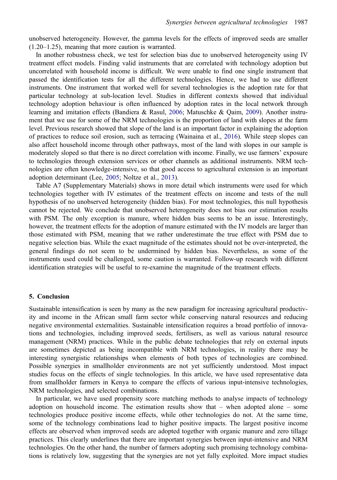<span id="page-14-0"></span>unobserved heterogeneity. However, the gamma levels for the effects of improved seeds are smaller (1.20–1.25), meaning that more caution is warranted.

In another robustness check, we test for selection bias due to unobserved heterogeneity using IV treatment effect models. Finding valid instruments that are correlated with technology adoption but uncorrelated with household income is difficult. We were unable to find one single instrument that passed the identification tests for all the different technologies. Hence, we had to use different instruments. One instrument that worked well for several technologies is the adoption rate for that particular technology at sub-location level. Studies in different contexts showed that individual technology adoption behaviour is often influenced by adoption rates in the local network through learning and imitation effects (Bandiera & Rasul, [2006](#page-15-0); Matuschke & Qaim, [2009\)](#page-16-0). Another instrument that we use for some of the NRM technologies is the proportion of land with slopes at the farm level. Previous research showed that slope of the land is an important factor in explaining the adoption of practices to reduce soil erosion, such as terracing (Wainaina et al., [2016](#page-17-0)). While steep slopes can also affect household income through other pathways, most of the land with slopes in our sample is moderately sloped so that there is no direct correlation with income. Finally, we use farmers' exposure to technologies through extension services or other channels as additional instruments. NRM technologies are often knowledge-intensive, so that good access to agricultural extension is an important adoption determinant (Lee, [2005;](#page-16-0) Noltze et al., [2013\)](#page-17-0).

Table A7 (Supplementary Materials) shows in more detail which instruments were used for which technologies together with IV estimates of the treatment effects on income and tests of the null hypothesis of no unobserved heterogeneity (hidden bias). For most technologies, this null hypothesis cannot be rejected. We conclude that unobserved heterogeneity does not bias our estimation results with PSM. The only exception is manure, where hidden bias seems to be an issue. Interestingly, however, the treatment effects for the adoption of manure estimated with the IV models are larger than those estimated with PSM, meaning that we rather underestimate the true effect with PSM due to negative selection bias. While the exact magnitude of the estimates should not be over-interpreted, the general findings do not seem to be undermined by hidden bias. Nevertheless, as some of the instruments used could be challenged, some caution is warranted. Follow-up research with different identification strategies will be useful to re-examine the magnitude of the treatment effects.

# 5. Conclusion

Sustainable intensification is seen by many as the new paradigm for increasing agricultural productivity and income in the African small farm sector while conserving natural resources and reducing negative environmental externalities. Sustainable intensification requires a broad portfolio of innovations and technologies, including improved seeds, fertilisers, as well as various natural resource management (NRM) practices. While in the public debate technologies that rely on external inputs are sometimes depicted as being incompatible with NRM technologies, in reality there may be interesting synergistic relationships when elements of both types of technologies are combined. Possible synergies in smallholder environments are not yet sufficiently understood. Most impact studies focus on the effects of single technologies. In this article, we have used representative data from smallholder farmers in Kenya to compare the effects of various input-intensive technologies, NRM technologies, and selected combinations.

In particular, we have used propensity score matching methods to analyse impacts of technology adoption on household income. The estimation results show that – when adopted alone – some technologies produce positive income effects, while other technologies do not. At the same time, some of the technology combinations lead to higher positive impacts. The largest positive income effects are observed when improved seeds are adopted together with organic manure and zero tillage practices. This clearly underlines that there are important synergies between input-intensive and NRM technologies. On the other hand, the number of farmers adopting such promising technology combinations is relatively low, suggesting that the synergies are not yet fully exploited. More impact studies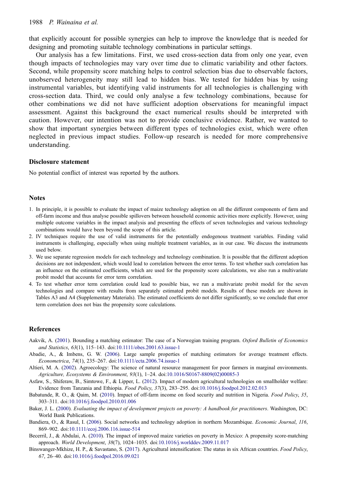<span id="page-15-0"></span>that explicitly account for possible synergies can help to improve the knowledge that is needed for designing and promoting suitable technology combinations in particular settings.

Our analysis has a few limitations. First, we used cross-section data from only one year, even though impacts of technologies may vary over time due to climatic variability and other factors. Second, while propensity score matching helps to control selection bias due to observable factors, unobserved heterogeneity may still lead to hidden bias. We tested for hidden bias by using instrumental variables, but identifying valid instruments for all technologies is challenging with cross-section data. Third, we could only analyse a few technology combinations, because for other combinations we did not have sufficient adoption observations for meaningful impact assessment. Against this background the exact numerical results should be interpreted with caution. However, our intention was not to provide conclusive evidence. Rather, we wanted to show that important synergies between different types of technologies exist, which were often neglected in previous impact studies. Follow-up research is needed for more comprehensive understanding.

## Disclosure statement

No potential conflict of interest was reported by the authors.

# **Notes**

- 1. In principle, it is possible to evaluate the impact of maize technology adoption on all the different components of farm and off-farm income and thus analyse possible spillovers between household economic activities more explicitly. However, using multiple outcome variables in the impact analysis and presenting the effects of seven technologies and various technology combinations would have been beyond the scope of this article.
- 2. IV techniques require the use of valid instruments for the potentially endogenous treatment variables. Finding valid instruments is challenging, especially when using multiple treatment variables, as in our case. We discuss the instruments used below.
- 3. We use separate regression models for each technology and technology combination. It is possible that the different adoption decisions are not independent, which would lead to correlation between the error terms. To test whether such correlation has an influence on the estimated coefficients, which are used for the propensity score calculations, we also run a multivariate probit model that accounts for error term correlation.
- 4. To test whether error term correlation could lead to possible bias, we run a multivariate probit model for the seven technologies and compare with results from separately estimated probit models. Results of these models are shown in Tables A3 and A4 (Supplementary Materials). The estimated coefficients do not differ significantly, so we conclude that error term correlation does not bias the propensity score calculations.

## References

- Aakvik, A. [\(2001](#page-9-0)). Bounding a matching estimator: The case of a Norwegian training program. Oxford Bulletin of Economics and Statistics, 63(1), 115–143. doi[:10.1111/obes.2001.63.issue-1](https://doi.org/10.1111/obes.2001.63.issue-1)
- Abadie, A., & Imbens, G. W. [\(2006](#page-7-0)). Large sample properties of matching estimators for average treatment effects. Econometrica, 74(1), 235–267. doi:[10.1111/ecta.2006.74.issue-1](https://doi.org/10.1111/ecta.2006.74.issue-1)
- Altieri, M. A. ([2002\)](#page-2-0). Agroecology: The science of natural resource management for poor farmers in marginal environments. Agriculture, Ecosystems & Environment, 93(1), 1–24. doi[:10.1016/S0167-8809\(02\)00085-3](https://doi.org/10.1016/S0167-8809(02)00085-3)
- Asfaw, S., Shiferaw, B., Simtowe, F., & Lipper, L. ([2012\)](#page-2-0). Impact of modern agricultural technologies on smallholder welfare: Evidence from Tanzania and Ethiopia. Food Policy, 37(3), 283–295. doi[:10.1016/j.foodpol.2012.02.013](https://doi.org/10.1016/j.foodpol.2012.02.013)
- Babatunde, R. O., & Qaim, M. ([2010\)](#page-6-0). Impact of off-farm income on food security and nutrition in Nigeria. Food Policy, 35, 303–311. doi:[10.1016/j.foodpol.2010.01.006](https://doi.org/10.1016/j.foodpol.2010.01.006)
- Baker, J. L. ([2000\)](#page-9-0). Evaluating the impact of development projects on poverty: A handbook for practitioners. Washington, DC: World Bank Publications.
- Bandiera, O., & Rasul, I. [\(2006](#page-14-0)). Social networks and technology adoption in northern Mozambique. Economic Journal, 116, 869–902. doi[:10.1111/ecoj.2006.116.issue-514](https://doi.org/10.1111/ecoj.2006.116.issue-514)
- Becerril, J., & Abdulai, A. [\(2010](#page-2-0)). The impact of improved maize varieties on poverty in Mexico: A propensity score-matching approach. World Development, 38(7), 1024–1035. doi[:10.1016/j.worlddev.2009.11.017](https://doi.org/10.1016/j.worlddev.2009.11.017)
- Binswanger-Mkhize, H. P., & Savastano, S. ([2017](#page-2-0)). Agricultural intensification: The status in six African countries. Food Policy, 67, 26–40. doi:[10.1016/j.foodpol.2016.09.021](https://doi.org/10.1016/j.foodpol.2016.09.021)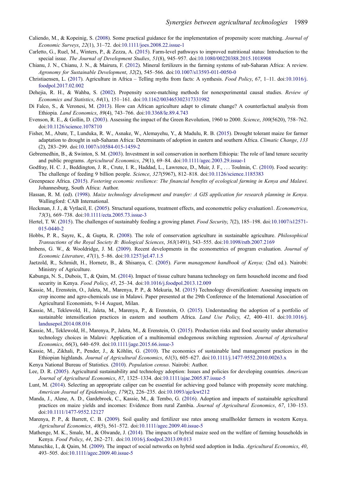- <span id="page-16-0"></span>Caliendo, M., & Kopeinig, S. [\(2008](#page-9-0)). Some practical guidance for the implementation of propensity score matching. Journal of Economic Surveys, 22(1), 31–72. doi[:10.1111/joes.2008.22.issue-1](https://doi.org/10.1111/joes.2008.22.issue-1)
- Carletto, G., Ruel, M., Winters, P., & Zezza, A. [\(2015](#page-1-0)). Farm-level pathways to improved nutritional status: Introduction to the special issue. The Journal of Development Studies, 51(8), 945–957. doi:[10.1080/00220388.2015.1018908](https://doi.org/10.1080/00220388.2015.1018908)
- Chianu, J. N., Chianu, J. N., & Mairura, F. [\(2012](#page-13-0)). Mineral fertilizers in the farming systems of sub-Saharan Africa: A review. Agronomy for Sustainable Development, 32(2), 545–566. doi:[10.1007/s13593-011-0050-0](https://doi.org/10.1007/s13593-011-0050-0)
- Christiaensen, L. [\(2017](#page-1-0)). Agriculture in Africa Telling myths from facts: A synthesis. Food Policy, 67, 1–11. doi:[10.1016/j.](https://doi.org/10.1016/j.foodpol.2017.02.002) [foodpol.2017.02.002](https://doi.org/10.1016/j.foodpol.2017.02.002)
- Dehejia, R. H., & Wahba, S. ([2002\)](#page-7-0). Propensity score-matching methods for nonexperimental causal studies. Review of Economics and Statistics, 84(1), 151–161. doi:[10.1162/003465302317331982](https://doi.org/10.1162/003465302317331982)
- Di Falco, S., & Veronesi, M. ([2013](#page-2-0)). How can African agriculture adapt to climate change? A counterfactual analysis from Ethiopia. Land Economics, 89(4), 743–766. doi[:10.3368/le.89.4.743](https://doi.org/10.3368/le.89.4.743)
- Evenson, R. E., & Gollin, D. [\(2003](#page-1-0)). Assessing the impact of the Green Revolution, 1960 to 2000. Science, 300(5620), 758–762. doi:[10.1126/science.1078710](https://doi.org/10.1126/science.1078710)
- Fisher, M., Abate, T., Lunduka, R. W., Asnake, W., Alemayehu, Y., & Madulu, R. B. ([2015\)](#page-3-0). Drought tolerant maize for farmer adaptation to drought in sub-Saharan Africa: Determinants of adoption in eastern and southern Africa. Climatic Change, 133 (2), 283–299. doi:[10.1007/s10584-015-1459-2](https://doi.org/10.1007/s10584-015-1459-2)
- Gebremedhin, B., & Swinton, S. M. [\(2003\)](#page-3-0). Investment in soil conservation in northern Ethiopia: The role of land tenure security and public programs. Agricultural Economics, 29(1), 69-84. doi[:10.1111/agec.2003.29.issue-1](https://doi.org/10.1111/agec.2003.29.issue-1)
- Godfray, H. C. J., Beddington, J. R., Crute, I. R., Haddad, L., Lawrence, D., Muir, J. F., . . . Toulmin, C. [\(2010](#page-1-0)). Food security: The challenge of feeding 9 billion people. Science, 327(5967), 812–818. doi:[10.1126/science.1185383](https://doi.org/10.1126/science.1185383)
- Greenpeace Africa. [\(2015](#page-2-0)). Fostering economic resilience: The financial benefits of ecological farming in Kenya and Malawi. Johannesburg, South Africa: Author.
- Hassan, R. M. (ed). ([1998\)](#page-2-0). Maize technology development and transfer: A GIS application for research planning in Kenya. Wallingford: CAB International.
- Heckman, J. J., & Vytlacil, E. [\(2005](#page-9-0)). Structural equations, treatment effects, and econometric policy evaluation1. *Econometrica*, 73(3), 669–738. doi:[10.1111/ecta.2005.73.issue-3](https://doi.org/10.1111/ecta.2005.73.issue-3)
- Hertel, T. W. ([2015\)](#page-1-0). The challenges of sustainably feeding a growing planet. Food Security, 7(2), 185-198. doi[:10.1007/s12571-](https://doi.org/10.1007/s12571-015-0440-2) [015-0440-2](https://doi.org/10.1007/s12571-015-0440-2)
- Hobbs, P. R., Sayre, K., & Gupta, R. ([2008\)](#page-2-0). The role of conservation agriculture in sustainable agriculture. Philosophical Transactions of the Royal Society B: Biological Sciences, 363(1491), 543–555. doi:[10.1098/rstb.2007.2169](https://doi.org/10.1098/rstb.2007.2169)
- Imbens, G. W., & Wooldridge, J. M. ([2009\)](#page-9-0). Recent developments in the econometrics of program evaluation. Journal of Economic Literature, 47(1), 5–86. doi[:10.1257/jel.47.1.5](https://doi.org/10.1257/jel.47.1.5)
- Jaetzold, R., Schmidt, H., Hornetz, B., & Shisanya, C. (2005). Farm management handbook of Kenya; (2nd ed.). Nairobi: Ministry of Agriculture.
- Kabunga, N. S., Dubois, T., & Qaim, M. ([2014\)](#page-2-0). Impact of tissue culture banana technology on farm household income and food security in Kenya. Food Policy, 45, 25–34. doi:[10.1016/j.foodpol.2013.12.009](https://doi.org/10.1016/j.foodpol.2013.12.009)
- Kassie, M., Erenstein, O., Jaleta, M., Marenya, P. P., & Mekuria, M. [\(2015](#page-2-0)) Technology diversification: Assessing impacts on crop income and agro-chemicals use in Malawi. Paper presented at the 29th Conference of the International Association of Agricultural Economists, 9-14 August, Milan.
- Kassie, M., Teklewold, H., Jaleta, M., Marenya, P., & Erenstein, O. [\(2015](#page-2-0)). Understanding the adoption of a portfolio of sustainable intensification practices in eastern and southern Africa. Land Use Policy, 42, 400–411. doi:[10.1016/j.](https://doi.org/10.1016/j.landusepol.2014.08.016) [landusepol.2014.08.016](https://doi.org/10.1016/j.landusepol.2014.08.016)
- Kassie, M., Teklewold, H., Marenya, P., Jaleta, M., & Erenstein, O. ([2015\)](#page-2-0). Production risks and food security under alternative technology choices in Malawi: Application of a multinomial endogenous switching regression. Journal of Agricultural Economics, 66(3), 640–659. doi[:10.1111/jage.2015.66.issue-3](https://doi.org/10.1111/jage.2015.66.issue-3)
- Kassie, M., Zikhali, P., Pender, J., & Köhlin, G. ([2010](#page-2-0)). The economics of sustainable land management practices in the Ethiopian highlands. Journal of Agricultural Economics, 61(3), 605–627. doi[:10.1111/j.1477-9552.2010.00263.x](https://doi.org/10.1111/j.1477-9552.2010.00263.x)
- Kenya National Bureau of Statistics. [\(2010](#page-3-0)). Population census. Nairobi: Author.
- Lee, D. R. ([2005\)](#page-6-0). Agricultural sustainability and technology adoption: Issues and policies for developing countries. American Journal of Agricultural Economics, 87, 1325–1334. doi[:10.1111/ajae.2005.87.issue-5](https://doi.org/10.1111/ajae.2005.87.issue-5)
- Lunt, M. [\(2014](#page-10-0)). Selecting an appropriate caliper can be essential for achieving good balance with propensity score matching. American Journal of Epidemiology, 179(2), 226–235. doi:[10.1093/aje/kwt212](https://doi.org/10.1093/aje/kwt212)
- Manda, J., Alene, A. D., Gardebroek, C., Kassie, M., & Tembo, G. [\(2016](#page-2-0)). Adoption and impacts of sustainable agricultural practices on maize yields and incomes: Evidence from rural Zambia. Journal of Agricultural Economics, 67, 130-153. doi:[10.1111/1477-9552.12127](https://doi.org/10.1111/1477-9552.12127)
- Marenya, P. P., & Barrett, C. B. [\(2009](#page-13-0)). Soil quality and fertilizer use rates among smallholder farmers in western Kenya. Agricultural Economics, 40(5), 561–572. doi:[10.1111/agec.2009.40.issue-5](https://doi.org/10.1111/agec.2009.40.issue-5)
- Mathenge, M. K., Smale, M., & Olwande, J. ([2014\)](#page-2-0). The impacts of hybrid maize seed on the welfare of farming households in Kenya. Food Policy, 44, 262–271. doi[:10.1016/j.foodpol.2013.09.013](https://doi.org/10.1016/j.foodpol.2013.09.013)
- Matuschke, I., & Qaim, M. [\(2009](#page-14-0)). The impact of social networks on hybrid seed adoption in India. Agricultural Economics, 40, 493–505. doi[:10.1111/agec.2009.40.issue-5](https://doi.org/10.1111/agec.2009.40.issue-5)